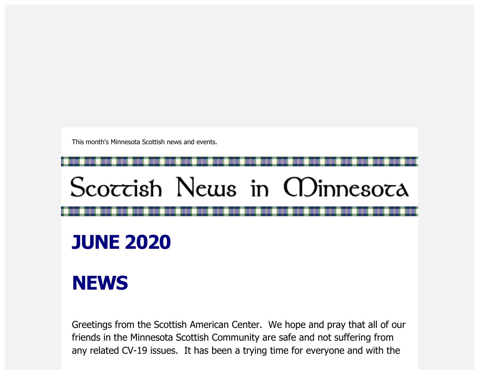This month's Minnesota Scottish news and events.

# Scoccish News in CDinnesoca

**JUNE 2020**

## **NEWS**

Greetings from the Scottish American Center. We hope and pray that all of our friends in the Minnesota Scottish Community are safe and not suffering from any related CV-19 issues. It has been a trying time for everyone and with the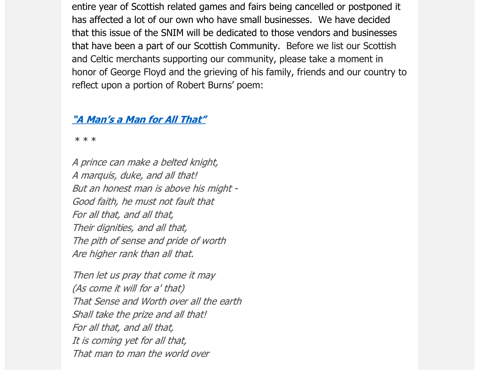entire year of Scottish related games and fairs being cancelled or postponed it has affected a lot of our own who have small businesses. We have decided that this issue of the SNIM will be dedicated to those vendors and businesses that have been a part of our Scottish Community. Before we list our Scottish and Celtic merchants supporting our community, please take a moment in honor of George Floyd and the grieving of his family, friends and our country to reflect upon a portion of Robert Burns' poem:

#### ["A Man's a Man for All That"](https://scottishamericancentermn.us10.list-manage.com/track/click?u=2fe4099001736ac4b948473e4&id=a36cde5c60&e=6b0ba04b53)

\* \* \*

A prince can make a belted knight, A marquis, duke, and all that! But an honest man is above his might - Good faith, he must not fault that For all that, and all that, Their dignities, and all that, The pith of sense and pride of worth Are higher rank than all that.

Then let us pray that come it may (As come it will for a' that) That Sense and Worth over all the earth Shall take the prize and all that! For all that, and all that, It is coming yet for all that, That man to man the world over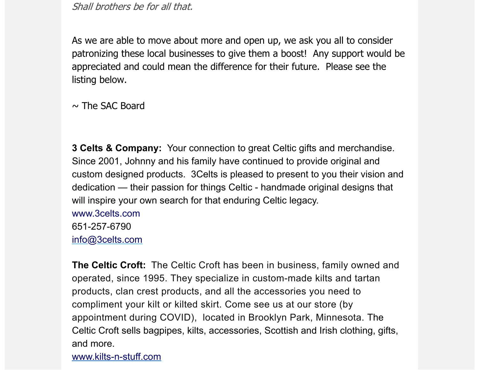Shall brothers be for all that.

As we are able to move about more and open up, we ask you all to consider patronizing these local businesses to give them a boost! Any support would be appreciated and could mean the difference for their future. Please see the listing below.

 $\sim$  The SAC Board

**3 Celts & Company:** Your connection to great Celtic gifts and merchandise. Since 2001, Johnny and his family have continued to provide original and custom designed products. 3Celts is pleased to present to you their vision and dedication — their passion for things Celtic - handmade original designs that will inspire your own search for that enduring Celtic legacy.

[www.3celts.com](https://www.3celts.com/) 651-257-6790 [info@3celts.com](mailto:info@3celts.com)

**The Celtic Croft:** The Celtic Croft has been in business, family owned and operated, since 1995. They specialize in custom-made kilts and tartan products, clan crest products, and all the accessories you need to compliment your kilt or kilted skirt. Come see us at our store (by appointment during COVID), located in Brooklyn Park, Minnesota. The Celtic Croft sells bagpipes, kilts, accessories, Scottish and Irish clothing, gifts, and more.

[www.kilts-n-stuff.com](https://www.kilts-n-stuff.com/)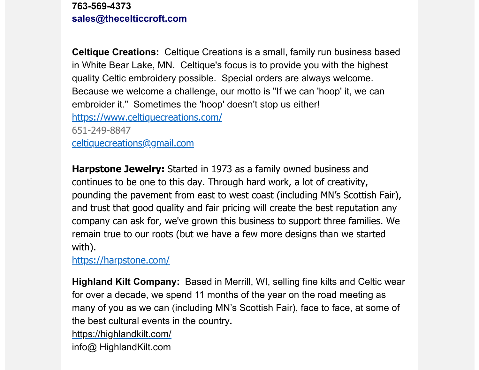**763-569-4373 [sales@thecelticcroft.com](mailto:sales@thecelticcroft.com)**

**Celtique Creations:** Celtique Creations is a small, family run business based in White Bear Lake, MN. Celtique's focus is to provide you with the highest quality Celtic embroidery possible. Special orders are always welcome. Because we welcome a challenge, our motto is "If we can 'hoop' it, we can embroider it." Sometimes the 'hoop' doesn't stop us either! [https://www.celtiquecreations.com/](https://scottishamericancentermn.us10.list-manage.com/track/click?u=2fe4099001736ac4b948473e4&id=ddcf3a7554&e=6b0ba04b53) 651-249-8847 [celtiquecreations@gmail.com](mailto:celtiquecreations@gmail.com)

**Harpstone Jewelry:** Started in 1973 as a family owned business and continues to be one to this day. Through hard work, a lot of creativity, pounding the pavement from east to west coast (including MN's Scottish Fair), and trust that good quality and fair pricing will create the best reputation any company can ask for, we've grown this business to support three families. We remain true to our roots (but we have a few more designs than we started with).

[https://harpstone.com/](https://scottishamericancentermn.us10.list-manage.com/track/click?u=2fe4099001736ac4b948473e4&id=f9ad281cd0&e=6b0ba04b53)

**Highland Kilt Company:** Based in Merrill, WI, selling fine kilts and Celtic wear for over a decade, we spend 11 months of the year on the road meeting as many of you as we can (including MN's Scottish Fair), face to face, at some of the best cultural events in the country**.**

[https://highlandkilt.com/](https://scottishamericancentermn.us10.list-manage.com/track/click?u=2fe4099001736ac4b948473e4&id=60d1578e2b&e=6b0ba04b53)

info@ HighlandKilt.com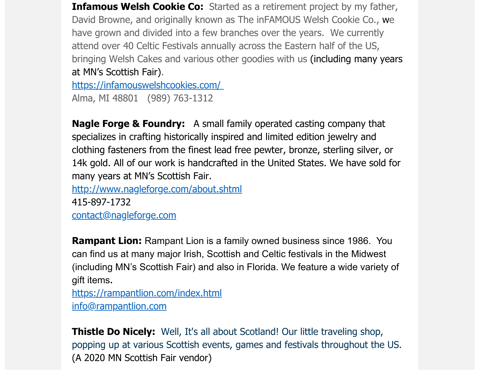**Infamous Welsh Cookie Co:** Started as a retirement project by my father, David Browne, and originally known as The inFAMOUS Welsh Cookie Co., we have grown and divided into a few branches over the years. We currently attend over 40 Celtic Festivals annually across the Eastern half of the US, bringing Welsh Cakes and various other goodies with us (including many years at MN's Scottish Fair).

[https://infamouswelshcookies.com/](https://scottishamericancentermn.us10.list-manage.com/track/click?u=2fe4099001736ac4b948473e4&id=db13f787fb&e=6b0ba04b53)  Alma, MI 48801 (989) 763-1312

**Nagle Forge & Foundry:** A small family operated casting company that specializes in crafting historically inspired and limited edition jewelry and clothing fasteners from the finest lead free pewter, bronze, sterling silver, or 14k gold. All of our work is handcrafted in the United States. We have sold for many years at MN's Scottish Fair.

[http://www.nagleforge.com/about.shtml](https://scottishamericancentermn.us10.list-manage.com/track/click?u=2fe4099001736ac4b948473e4&id=7767bdc324&e=6b0ba04b53)

415-897-1732 [contact@nagleforge.com](mailto:contact@nagleforge.com)

**Rampant Lion:** Rampant Lion is a family owned business since 1986. You can find us at many major Irish, Scottish and Celtic festivals in the Midwest (including MN's Scottish Fair) and also in Florida. We feature a wide variety of gift items**.**

[https://rampantlion.com/index.html](https://scottishamericancentermn.us10.list-manage.com/track/click?u=2fe4099001736ac4b948473e4&id=db67953b72&e=6b0ba04b53) [info@rampantlion.com](mailto:info@rampantlion.com)

**Thistle Do Nicely:** Well, It's all about Scotland! Our little traveling shop, popping up at various Scottish events, games and festivals throughout the US. (A 2020 MN Scottish Fair vendor)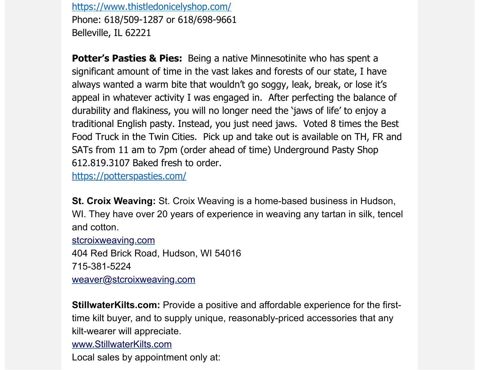[https://www.thistledonicelyshop.com/](https://scottishamericancentermn.us10.list-manage.com/track/click?u=2fe4099001736ac4b948473e4&id=798652a0ba&e=6b0ba04b53) Phone: 618/509-1287 or 618/698-9661 Belleville, IL 62221

**Potter's Pasties & Pies:** Being a native Minnesotinite who has spent a significant amount of time in the vast lakes and forests of our state, I have always wanted a warm bite that wouldn't go soggy, leak, break, or lose it's appeal in whatever activity I was engaged in. After perfecting the balance of durability and flakiness, you will no longer need the 'jaws of life' to enjoy a traditional English pasty. Instead, you just need jaws. Voted 8 times the Best Food Truck in the Twin Cities. Pick up and take out is available on TH, FR and SATs from 11 am to 7pm (order ahead of time) Underground Pasty Shop 612.819.3107 Baked fresh to order.

[https://potterspasties.com/](https://scottishamericancentermn.us10.list-manage.com/track/click?u=2fe4099001736ac4b948473e4&id=561f8091ec&e=6b0ba04b53)

**St. Croix Weaving:** St. Croix Weaving is a home-based business in Hudson, WI. They have over 20 years of experience in weaving any tartan in silk, tencel and cotton.

[stcroixweaving.com](https://scottishamericancentermn.us10.list-manage.com/track/click?u=2fe4099001736ac4b948473e4&id=32db02576c&e=6b0ba04b53)

404 Red Brick Road, Hudson, WI 54016 715-381-5224

[weaver@stcroixweaving.com](mailto:weaver@stcroixweaving.com)

**StillwaterKilts.com:** Provide a positive and affordable experience for the firsttime kilt buyer, and to supply unique, reasonably-priced accessories that any kilt-wearer will appreciate.

[www.StillwaterKilts.com](https://scottishamericancentermn.us10.list-manage.com/track/click?u=2fe4099001736ac4b948473e4&id=42cd3a444a&e=6b0ba04b53)

Local sales by appointment only at: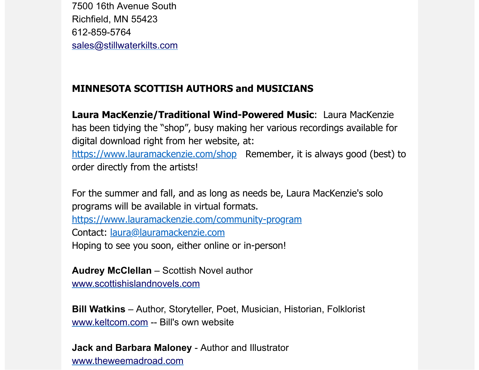7500 16th Avenue South Richfield, MN 55423 612-859-5764 [sales@stillwaterkilts.com](mailto:sales@stillwaterkilts.com)

### **MINNESOTA SCOTTISH AUTHORS and MUSICIANS**

**Laura MacKenzie/Traditional Wind-Powered Music**: Laura MacKenzie has been tidying the "shop", busy making her various recordings available for digital download right from her website, at: [https://www.lauramackenzie.com/shop](https://scottishamericancentermn.us10.list-manage.com/track/click?u=2fe4099001736ac4b948473e4&id=06da47bf42&e=6b0ba04b53) Remember, it is always good (best) to order directly from the artists!

For the summer and fall, and as long as needs be, Laura MacKenzie's solo programs will be available in virtual formats. [https://www.lauramackenzie.com/community-program](https://scottishamericancentermn.us10.list-manage.com/track/click?u=2fe4099001736ac4b948473e4&id=82d0f80b58&e=6b0ba04b53) Contact: [laura@lauramackenzie.com](mailto:laura@lauramackenzie.com) Hoping to see you soon, either online or in-person!

**Audrey McClellan** – Scottish Novel author

[www.scottishislandnovels.com](https://scottishamericancentermn.us10.list-manage.com/track/click?u=2fe4099001736ac4b948473e4&id=d9c46ff937&e=6b0ba04b53)

**Bill Watkins** – Author, Storyteller, Poet, Musician, Historian, Folklorist [www.keltcom.com](https://scottishamericancentermn.us10.list-manage.com/track/click?u=2fe4099001736ac4b948473e4&id=2ac497900e&e=6b0ba04b53) -- Bill's own website

**Jack and Barbara Maloney** - Author and Illustrator [www.theweemadroad.com](https://scottishamericancentermn.us10.list-manage.com/track/click?u=2fe4099001736ac4b948473e4&id=0813d3d865&e=6b0ba04b53)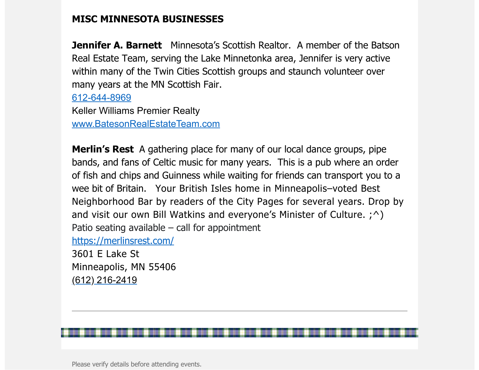#### **MISC MINNESOTA BUSINESSES**

**Jennifer A. Barnett** Minnesota's Scottish Realtor. A member of the Batson Real Estate Team, serving the Lake Minnetonka area, Jennifer is very active within many of the Twin Cities Scottish groups and staunch volunteer over many years at the MN Scottish Fair.

612-644-8969 Keller Williams Premier Realty

[www.BatesonRealEstateTeam.com](https://scottishamericancentermn.us10.list-manage.com/track/click?u=2fe4099001736ac4b948473e4&id=e0a504a88c&e=6b0ba04b53)

**Merlin's Rest** A gathering place for many of our local dance groups, pipe bands, and fans of Celtic music for many years. This is a pub where an order of fish and chips and Guinness while waiting for friends can transport you to a wee bit of Britain. Your British Isles home in Minneapolis–voted Best Neighborhood Bar by readers of the City Pages for several years. Drop by and visit our own Bill Watkins and everyone's Minister of Culture.  $; \hat{ } \rangle$ Patio seating available  $-$  call for appointment

[https://merlinsrest.com/](https://scottishamericancentermn.us10.list-manage.com/track/click?u=2fe4099001736ac4b948473e4&id=738a30ac59&e=6b0ba04b53)

3601 E Lake St Minneapolis, MN 55406 (612) 216-2419

Please verify details before attending events.